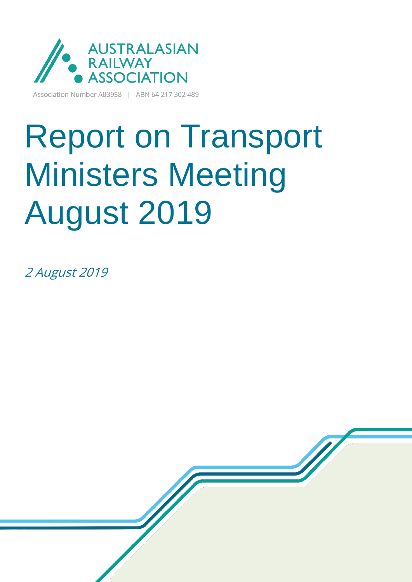

Association Number A03958 | ABN 64 217 302 489

## Report on Transport Ministers Meeting August 2019

2 August 2019

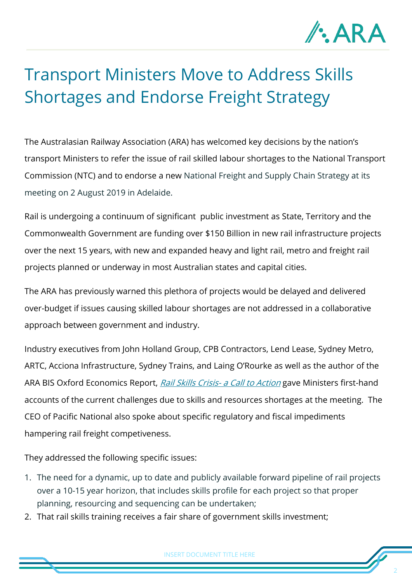

## Transport Ministers Move to Address Skills Shortages and Endorse Freight Strategy

The Australasian Railway Association (ARA) has welcomed key decisions by the nation's transport Ministers to refer the issue of rail skilled labour shortages to the National Transport Commission (NTC) and to endorse a new National Freight and Supply Chain Strategy at its meeting on 2 August 2019 in Adelaide.

Rail is undergoing a continuum of significant public investment as State, Territory and the Commonwealth Government are funding over \$150 Billion in new rail infrastructure projects over the next 15 years, with new and expanded heavy and light rail, metro and freight rail projects planned or underway in most Australian states and capital cities.

The ARA has previously warned this plethora of projects would be delayed and delivered over-budget if issues causing skilled labour shortages are not addressed in a collaborative approach between government and industry.

Industry executives from John Holland Group, CPB Contractors, Lend Lease, Sydney Metro, ARTC, Acciona Infrastructure, Sydney Trains, and Laing O'Rourke as well as the author of the ARA BIS Oxford Economics Report, *[Rail Skills Crisis-](https://ara.net.au/sites/default/files/18-11-26%20BOE%20Report%20Final.pdf) a Call to Action* gave Ministers first-hand accounts of the current challenges due to skills and resources shortages at the meeting. The CEO of Pacific National also spoke about specific regulatory and fiscal impediments hampering rail freight competiveness.

They addressed the following specific issues:

- 1. The need for a dynamic, up to date and publicly available forward pipeline of rail projects over a 10-15 year horizon, that includes skills profile for each project so that proper planning, resourcing and sequencing can be undertaken;
- 2. That rail skills training receives a fair share of government skills investment;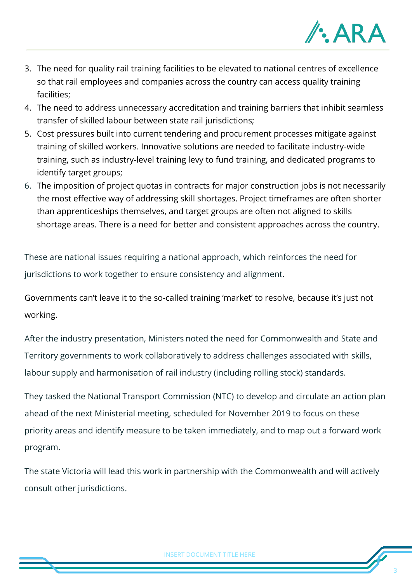

- 3. The need for quality rail training facilities to be elevated to national centres of excellence so that rail employees and companies across the country can access quality training facilities;
- 4. The need to address unnecessary accreditation and training barriers that inhibit seamless transfer of skilled labour between state rail jurisdictions;
- 5. Cost pressures built into current tendering and procurement processes mitigate against training of skilled workers. Innovative solutions are needed to facilitate industry-wide training, such as industry-level training levy to fund training, and dedicated programs to identify target groups;
- 6. The imposition of project quotas in contracts for major construction jobs is not necessarily the most effective way of addressing skill shortages. Project timeframes are often shorter than apprenticeships themselves, and target groups are often not aligned to skills shortage areas. There is a need for better and consistent approaches across the country.

These are national issues requiring a national approach, which reinforces the need for jurisdictions to work together to ensure consistency and alignment.

Governments can't leave it to the so-called training 'market' to resolve, because it's just not working.

After the industry presentation, Ministers noted the need for Commonwealth and State and Territory governments to work collaboratively to address challenges associated with skills, labour supply and harmonisation of rail industry (including rolling stock) standards.

They tasked the National Transport Commission (NTC) to develop and circulate an action plan ahead of the next Ministerial meeting, scheduled for November 2019 to focus on these priority areas and identify measure to be taken immediately, and to map out a forward work program.

The state Victoria will lead this work in partnership with the Commonwealth and will actively consult other jurisdictions.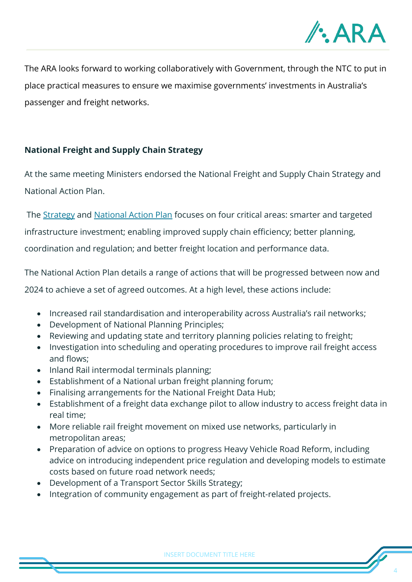

The ARA looks forward to working collaboratively with Government, through the NTC to put in place practical measures to ensure we maximise governments' investments in Australia's passenger and freight networks.

## **National Freight and Supply Chain Strategy**

At the same meeting Ministers endorsed the National Freight and Supply Chain Strategy and National Action Plan.

The [Strategy](https://www.freightaustralia.gov.au/sites/default/files/documents/strategy_2_august_2019.pdf) and [National Action Plan](https://www.vision6.com.au/ch/79646/1ktkn/2056935/Te6G3u5wLsq0Lqi8ifWOiN1UYMGP19DFELqFDbMF-1.pdf) focuses on four critical areas: smarter and targeted

infrastructure investment; enabling improved supply chain efficiency; better planning,

coordination and regulation; and better freight location and performance data.

The National Action Plan details a range of actions that will be progressed between now and

2024 to achieve a set of agreed outcomes. At a high level, these actions include:

- Increased rail standardisation and interoperability across Australia's rail networks;
- Development of National Planning Principles;
- Reviewing and updating state and territory planning policies relating to freight;
- Investigation into scheduling and operating procedures to improve rail freight access and flows;
- Inland Rail intermodal terminals planning;
- Establishment of a National urban freight planning forum;
- Finalising arrangements for the National Freight Data Hub;
- Establishment of a freight data exchange pilot to allow industry to access freight data in real time;
- More reliable rail freight movement on mixed use networks, particularly in metropolitan areas;
- Preparation of advice on options to progress Heavy Vehicle Road Reform, including advice on introducing independent price regulation and developing models to estimate costs based on future road network needs;
- Development of a Transport Sector Skills Strategy;
- Integration of community engagement as part of freight-related projects.